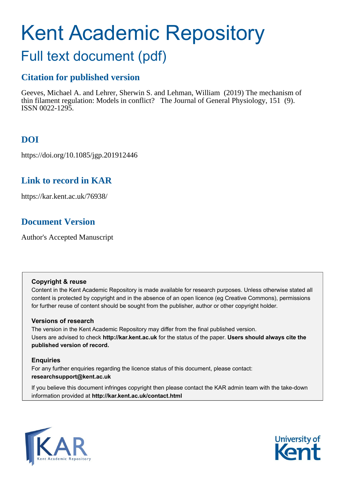# Kent Academic Repository

## Full text document (pdf)

## **Citation for published version**

Geeves, Michael A. and Lehrer, Sherwin S. and Lehman, William (2019) The mechanism of thin filament regulation: Models in conflict? The Journal of General Physiology, 151 (9). ISSN 0022-1295.

## **DOI**

https://doi.org/10.1085/jgp.201912446

## **Link to record in KAR**

https://kar.kent.ac.uk/76938/

## **Document Version**

Author's Accepted Manuscript

#### **Copyright & reuse**

Content in the Kent Academic Repository is made available for research purposes. Unless otherwise stated all content is protected by copyright and in the absence of an open licence (eg Creative Commons), permissions for further reuse of content should be sought from the publisher, author or other copyright holder.

#### **Versions of research**

The version in the Kent Academic Repository may differ from the final published version. Users are advised to check **http://kar.kent.ac.uk** for the status of the paper. **Users should always cite the published version of record.**

#### **Enquiries**

For any further enquiries regarding the licence status of this document, please contact: **researchsupport@kent.ac.uk**

If you believe this document infringes copyright then please contact the KAR admin team with the take-down information provided at **http://kar.kent.ac.uk/contact.html**



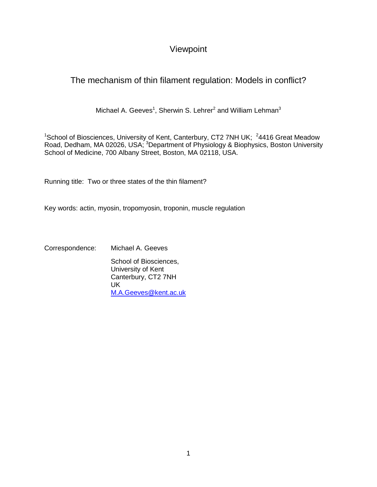### Viewpoint

## The mechanism of thin filament regulation: Models in conflict?

Michael A. Geeves<sup>1</sup>, Sherwin S. Lehrer<sup>2</sup> and William Lehman<sup>3</sup>

<sup>1</sup>School of Biosciences, University of Kent, Canterbury, CT2 7NH UK;  $24416$  Great Meadow Road, Dedham, MA 02026, USA; <sup>3</sup>Department of Physiology & Biophysics, Boston University School of Medicine, 700 Albany Street, Boston, MA 02118, USA.

Running title: Two or three states of the thin filament?

Key words: actin, myosin, tropomyosin, troponin, muscle regulation

Correspondence: Michael A. Geeves

School of Biosciences, University of Kent Canterbury, CT2 7NH UK [M.A.Geeves@kent.ac.uk](mailto:M.A.Geeves@kent.ac.uk)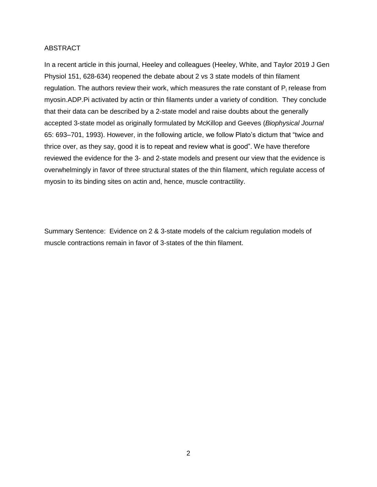#### ABSTRACT

In a recent article in this journal, Heeley and colleagues (Heeley, White, and Taylor 2019 J Gen Physiol 151, 628-634) reopened the debate about 2 vs 3 state models of thin filament regulation. The authors review their work, which measures the rate constant of  $P_i$  release from myosin.ADP.Pi activated by actin or thin filaments under a variety of condition. They conclude that their data can be described by a 2-state model and raise doubts about the generally accepted 3-state model as originally formulated by McKillop and Geeves (*Biophysical Journal* 65: 693–701, 1993). However, in the following article, we follow Plato's dictum that "twice and thrice over, as they say, good it is to repeat and review what is good". We have therefore reviewed the evidence for the 3- and 2-state models and present our view that the evidence is overwhelmingly in favor of three structural states of the thin filament, which regulate access of myosin to its binding sites on actin and, hence, muscle contractility.

Summary Sentence: Evidence on 2 & 3-state models of the calcium regulation models of muscle contractions remain in favor of 3-states of the thin filament.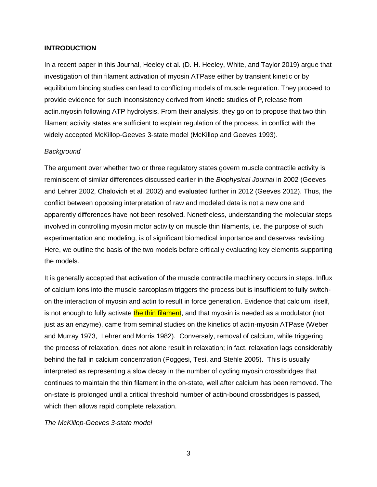#### **INTRODUCTION**

In a recent paper in this Journal, Heeley et al. (D. H. Heeley, White, and Taylor 2019) argue that investigation of thin filament activation of myosin ATPase either by transient kinetic or by equilibrium binding studies can lead to conflicting models of muscle regulation. They proceed to provide evidence for such inconsistency derived from kinetic studies of  $P_i$  release from actin.myosin following ATP hydrolysis. From their analysis, they go on to propose that two thin filament activity states are sufficient to explain regulation of the process, in conflict with the widely accepted McKillop-Geeves 3-state model (McKillop and Geeves 1993).

#### *Background*

The argument over whether two or three regulatory states govern muscle contractile activity is reminiscent of similar differences discussed earlier in the *Biophysical Journal* in 2002 (Geeves and Lehrer 2002, Chalovich et al. 2002) and evaluated further in 2012 (Geeves 2012). Thus, the conflict between opposing interpretation of raw and modeled data is not a new one and apparently differences have not been resolved. Nonetheless, understanding the molecular steps involved in controlling myosin motor activity on muscle thin filaments, i.e. the purpose of such experimentation and modeling, is of significant biomedical importance and deserves revisiting. Here, we outline the basis of the two models before critically evaluating key elements supporting the models.

It is generally accepted that activation of the muscle contractile machinery occurs in steps. Influx of calcium ions into the muscle sarcoplasm triggers the process but is insufficient to fully switchon the interaction of myosin and actin to result in force generation. Evidence that calcium, itself, is not enough to fully activate the thin filament, and that myosin is needed as a modulator (not just as an enzyme), came from seminal studies on the kinetics of actin-myosin ATPase (Weber and Murray 1973, Lehrer and Morris 1982). Conversely, removal of calcium, while triggering the process of relaxation, does not alone result in relaxation; in fact, relaxation lags considerably behind the fall in calcium concentration (Poggesi, Tesi, and Stehle 2005). This is usually interpreted as representing a slow decay in the number of cycling myosin crossbridges that continues to maintain the thin filament in the on-state, well after calcium has been removed. The on-state is prolonged until a critical threshold number of actin-bound crossbridges is passed, which then allows rapid complete relaxation.

*The McKillop-Geeves 3-state model*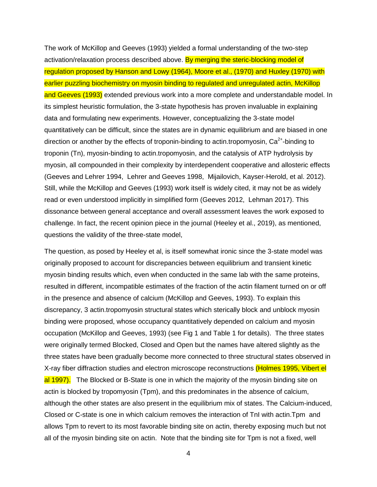The work of McKillop and Geeves (1993) yielded a formal understanding of the two-step activation/relaxation process described above. By merging the steric-blocking model of regulation proposed by Hanson and Lowy (1964), Moore et al., (1970) and Huxley (1970) with earlier puzzling biochemistry on myosin binding to regulated and unregulated actin, McKillop and Geeves (1993) extended previous work into a more complete and understandable model. In its simplest heuristic formulation, the 3-state hypothesis has proven invaluable in explaining data and formulating new experiments. However, conceptualizing the 3-state model quantitatively can be difficult, since the states are in dynamic equilibrium and are biased in one direction or another by the effects of troponin-binding to actin.tropomyosin,  $Ca^{2+}$ -binding to troponin (Tn), myosin-binding to actin.tropomyosin, and the catalysis of ATP hydrolysis by myosin, all compounded in their complexity by interdependent cooperative and allosteric effects (Geeves and Lehrer 1994, Lehrer and Geeves 1998, Mijailovich, Kayser-Herold, et al. 2012). Still, while the McKillop and Geeves (1993) work itself is widely cited, it may not be as widely read or even understood implicitly in simplified form (Geeves 2012, Lehman 2017). This dissonance between general acceptance and overall assessment leaves the work exposed to challenge. In fact, the recent opinion piece in the journal (Heeley et al., 2019), as mentioned, questions the validity of the three-state model,

The question, as posed by Heeley et al, is itself somewhat ironic since the 3-state model was originally proposed to account for discrepancies between equilibrium and transient kinetic myosin binding results which, even when conducted in the same lab with the same proteins, resulted in different, incompatible estimates of the fraction of the actin filament turned on or off in the presence and absence of calcium (McKillop and Geeves, 1993). To explain this discrepancy, 3 actin.tropomyosin structural states which sterically block and unblock myosin binding were proposed, whose occupancy quantitatively depended on calcium and myosin occupation (McKillop and Geeves, 1993) (see Fig 1 and Table 1 for details). The three states were originally termed Blocked, Closed and Open but the names have altered slightly as the three states have been gradually become more connected to three structural states observed in X-ray fiber diffraction studies and electron microscope reconstructions (Holmes 1995, Vibert el al 1997). The Blocked or B-State is one in which the majority of the myosin binding site on actin is blocked by tropomyosin (Tpm), and this predominates in the absence of calcium, although the other states are also present in the equilibrium mix of states. The Calcium-induced, Closed or C-state is one in which calcium removes the interaction of TnI with actin.Tpm and allows Tpm to revert to its most favorable binding site on actin, thereby exposing much but not all of the myosin binding site on actin. Note that the binding site for Tpm is not a fixed, well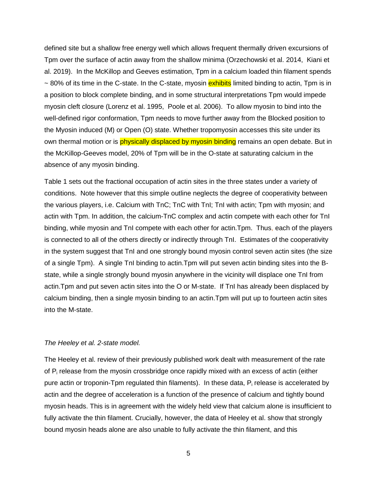defined site but a shallow free energy well which allows frequent thermally driven excursions of Tpm over the surface of actin away from the shallow minima (Orzechowski et al. 2014, Kiani et al. 2019). In the McKillop and Geeves estimation, Tpm in a calcium loaded thin filament spends ~ 80% of its time in the C-state. In the C-state, myosin **exhibits** limited binding to actin, Tpm is in a position to block complete binding, and in some structural interpretations Tpm would impede myosin cleft closure (Lorenz et al. 1995, Poole et al. 2006). To allow myosin to bind into the well-defined rigor conformation, Tpm needs to move further away from the Blocked position to the Myosin induced (M) or Open (O) state. Whether tropomyosin accesses this site under its own thermal motion or is physically displaced by myosin binding remains an open debate. But in the McKillop-Geeves model, 20% of Tpm will be in the O-state at saturating calcium in the absence of any myosin binding.

Table 1 sets out the fractional occupation of actin sites in the three states under a variety of conditions. Note however that this simple outline neglects the degree of cooperativity between the various players, i.e. Calcium with TnC; TnC with TnI; TnI with actin; Tpm with myosin; and actin with Tpm. In addition, the calcium-TnC complex and actin compete with each other for TnI binding, while myosin and TnI compete with each other for actin.Tpm. Thus, each of the players is connected to all of the others directly or indirectly through TnI. Estimates of the cooperativity in the system suggest that TnI and one strongly bound myosin control seven actin sites (the size of a single Tpm). A single TnI binding to actin.Tpm will put seven actin binding sites into the Bstate, while a single strongly bound myosin anywhere in the vicinity will displace one TnI from actin.Tpm and put seven actin sites into the O or M-state. If TnI has already been displaced by calcium binding, then a single myosin binding to an actin.Tpm will put up to fourteen actin sites into the M-state.

#### *The Heeley et al. 2-state model.*

The Heeley et al. review of their previously published work dealt with measurement of the rate of P<sub>i</sub> release from the myosin crossbridge once rapidly mixed with an excess of actin (either pure actin or troponin-Tpm regulated thin filaments). In these data,  $P_i$  release is accelerated by actin and the degree of acceleration is a function of the presence of calcium and tightly bound myosin heads. This is in agreement with the widely held view that calcium alone is insufficient to fully activate the thin filament. Crucially, however, the data of Heeley et al. show that strongly bound myosin heads alone are also unable to fully activate the thin filament, and this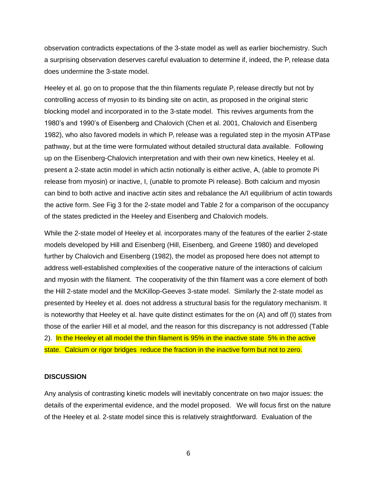observation contradicts expectations of the 3-state model as well as earlier biochemistry. Such a surprising observation deserves careful evaluation to determine if, indeed, the  $P_i$  release data does undermine the 3-state model.

Heeley et al. go on to propose that the thin filaments regulate  $P_i$  release directly but not by controlling access of myosin to its binding site on actin, as proposed in the original steric blocking model and incorporated in to the 3-state model. This revives arguments from the 1980's and 1990's of Eisenberg and Chalovich (Chen et al. 2001, Chalovich and Eisenberg 1982), who also favored models in which  $P_i$  release was a regulated step in the myosin ATPase pathway, but at the time were formulated without detailed structural data available. Following up on the Eisenberg-Chalovich interpretation and with their own new kinetics, Heeley et al. present a 2-state actin model in which actin notionally is either active, A, (able to promote Pi release from myosin) or inactive, I, (unable to promote Pi release). Both calcium and myosin can bind to both active and inactive actin sites and rebalance the A/I equilibrium of actin towards the active form. See Fig 3 for the 2-state model and Table 2 for a comparison of the occupancy of the states predicted in the Heeley and Eisenberg and Chalovich models.

While the 2-state model of Heeley et al. incorporates many of the features of the earlier 2-state models developed by Hill and Eisenberg (Hill, Eisenberg, and Greene 1980) and developed further by Chalovich and Eisenberg (1982), the model as proposed here does not attempt to address well-established complexities of the cooperative nature of the interactions of calcium and myosin with the filament. The cooperativity of the thin filament was a core element of both the Hill 2-state model and the McKillop-Geeves 3-state model. Similarly the 2-state model as presented by Heeley et al. does not address a structural basis for the regulatory mechanism. It is noteworthy that Heeley et al. have quite distinct estimates for the on (A) and off (I) states from those of the earlier Hill et al model, and the reason for this discrepancy is not addressed (Table 2). In the Heeley et all model the thin filament is 95% in the inactive state 5% in the active state. Calcium or rigor bridges reduce the fraction in the inactive form but not to zero.

#### **DISCUSSION**

Any analysis of contrasting kinetic models will inevitably concentrate on two major issues: the details of the experimental evidence, and the model proposed. We will focus first on the nature of the Heeley et al. 2-state model since this is relatively straightforward. Evaluation of the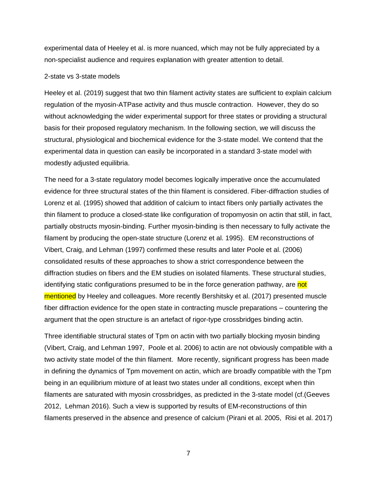experimental data of Heeley et al. is more nuanced, which may not be fully appreciated by a non-specialist audience and requires explanation with greater attention to detail.

#### 2-state vs 3-state models

Heeley et al. (2019) suggest that two thin filament activity states are sufficient to explain calcium regulation of the myosin-ATPase activity and thus muscle contraction. However, they do so without acknowledging the wider experimental support for three states or providing a structural basis for their proposed regulatory mechanism. In the following section, we will discuss the structural, physiological and biochemical evidence for the 3-state model. We contend that the experimental data in question can easily be incorporated in a standard 3-state model with modestly adjusted equilibria.

The need for a 3-state regulatory model becomes logically imperative once the accumulated evidence for three structural states of the thin filament is considered. Fiber-diffraction studies of Lorenz et al. (1995) showed that addition of calcium to intact fibers only partially activates the thin filament to produce a closed-state like configuration of tropomyosin on actin that still, in fact, partially obstructs myosin-binding. Further myosin-binding is then necessary to fully activate the filament by producing the open-state structure (Lorenz et al. 1995). EM reconstructions of Vibert, Craig, and Lehman (1997) confirmed these results and later Poole et al. (2006) consolidated results of these approaches to show a strict correspondence between the diffraction studies on fibers and the EM studies on isolated filaments. These structural studies, identifying static configurations presumed to be in the force generation pathway, are not mentioned by Heeley and colleagues. More recently Bershitsky et al. (2017) presented muscle fiber diffraction evidence for the open state in contracting muscle preparations – countering the argument that the open structure is an artefact of rigor-type crossbridges binding actin.

Three identifiable structural states of Tpm on actin with two partially blocking myosin binding (Vibert, Craig, and Lehman 1997, Poole et al. 2006) to actin are not obviously compatible with a two activity state model of the thin filament. More recently, significant progress has been made in defining the dynamics of Tpm movement on actin, which are broadly compatible with the Tpm being in an equilibrium mixture of at least two states under all conditions, except when thin filaments are saturated with myosin crossbridges, as predicted in the 3-state model (cf.(Geeves 2012, Lehman 2016). Such a view is supported by results of EM-reconstructions of thin filaments preserved in the absence and presence of calcium (Pirani et al. 2005, Risi et al. 2017)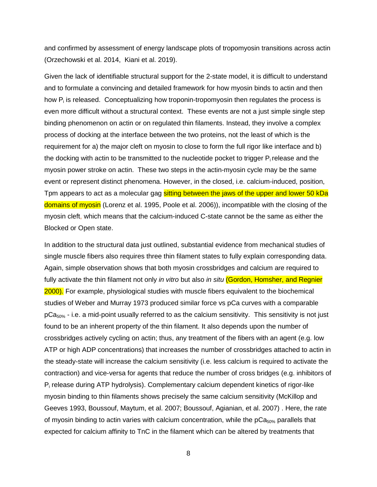and confirmed by assessment of energy landscape plots of tropomyosin transitions across actin (Orzechowski et al. 2014, Kiani et al. 2019).

Given the lack of identifiable structural support for the 2-state model, it is difficult to understand and to formulate a convincing and detailed framework for how myosin binds to actin and then how  $P_i$  is released. Conceptualizing how troponin-tropomyosin then regulates the process is even more difficult without a structural context. These events are not a just simple single step binding phenomenon on actin or on regulated thin filaments. Instead, they involve a complex process of docking at the interface between the two proteins, not the least of which is the requirement for a) the major cleft on myosin to close to form the full rigor like interface and b) the docking with actin to be transmitted to the nucleotide pocket to trigger  $P_i$  release and the myosin power stroke on actin. These two steps in the actin-myosin cycle may be the same event or represent distinct phenomena. However, in the closed, i.e. calcium-induced, position, Tpm appears to act as a molecular gag sitting between the jaws of the upper and lower 50 kDa domains of myosin (Lorenz et al. 1995, Poole et al. 2006)), incompatible with the closing of the myosin cleft, which means that the calcium-induced C-state cannot be the same as either the Blocked or Open state.

In addition to the structural data just outlined, substantial evidence from mechanical studies of single muscle fibers also requires three thin filament states to fully explain corresponding data. Again, simple observation shows that both myosin crossbridges and calcium are required to fully activate the thin filament not only *in vitro* but also *in situ* (Gordon, Homsher, and Regnier 2000)*.* For example, physiological studies with muscle fibers equivalent to the biochemical studies of Weber and Murray 1973 produced similar force vs pCa curves with a comparable  $pCa<sub>50%</sub>$  - i.e. a mid-point usually referred to as the calcium sensitivity. This sensitivity is not just found to be an inherent property of the thin filament. It also depends upon the number of crossbridges actively cycling on actin; thus, any treatment of the fibers with an agent (e.g. low ATP or high ADP concentrations) that increases the number of crossbridges attached to actin in the steady-state will increase the calcium sensitivity (i.e. less calcium is required to activate the contraction) and vice-versa for agents that reduce the number of cross bridges (e.g. inhibitors of P<sup>i</sup> release during ATP hydrolysis). Complementary calcium dependent kinetics of rigor-like myosin binding to thin filaments shows precisely the same calcium sensitivity (McKillop and Geeves 1993, Boussouf, Maytum, et al. 2007; Boussouf, Agianian, et al. 2007) . Here, the rate of myosin binding to actin varies with calcium concentration, while the  $pCa<sub>50%</sub>$  parallels that expected for calcium affinity to TnC in the filament which can be altered by treatments that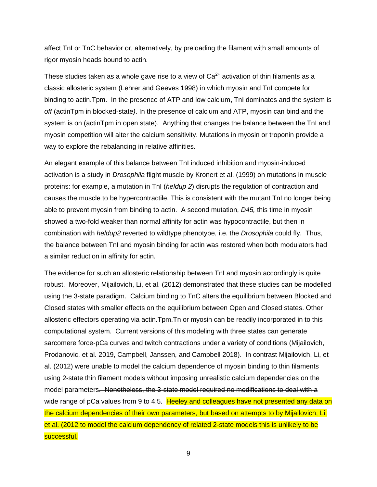affect TnI or TnC behavior or, alternatively, by preloading the filament with small amounts of rigor myosin heads bound to actin.

These studies taken as a whole gave rise to a view of  $Ca<sup>2+</sup>$  activation of thin filaments as a classic allosteric system (Lehrer and Geeves 1998) in which myosin and TnI compete for binding to actin.Tpm. In the presence of ATP and low calcium**,** TnI dominates and the system is *off* (actinTpm in blocked-state*)*. In the presence of calcium and ATP, myosin can bind and the system is on (actinTpm in open state). Anything that changes the balance between the TnI and myosin competition will alter the calcium sensitivity. Mutations in myosin or troponin provide a way to explore the rebalancing in relative affinities.

An elegant example of this balance between TnI induced inhibition and myosin-induced activation is a study in *Drosophila* flight muscle by Kronert et al. (1999) on mutations in muscle proteins: for example, a mutation in TnI (*heldup 2*) disrupts the regulation of contraction and causes the muscle to be hypercontractile. This is consistent with the mutant TnI no longer being able to prevent myosin from binding to actin. A second mutation, *D45,* this time in myosin showed a two-fold weaker than normal affinity for actin was hypocontractile, but then in combination with *heldup2* reverted to wildtype phenotype, i.e. the *Drosophila* could fly. Thus, the balance between TnI and myosin binding for actin was restored when both modulators had a similar reduction in affinity for actin*.* 

The evidence for such an allosteric relationship between TnI and myosin accordingly is quite robust. Moreover, Mijailovich, Li, et al. (2012) demonstrated that these studies can be modelled using the 3-state paradigm. Calcium binding to TnC alters the equilibrium between Blocked and Closed states with smaller effects on the equilibrium between Open and Closed states. Other allosteric effectors operating via actin.Tpm.Tn or myosin can be readily incorporated in to this computational system. Current versions of this modeling with three states can generate sarcomere force-pCa curves and twitch contractions under a variety of conditions (Mijailovich, Prodanovic, et al. 2019, Campbell, Janssen, and Campbell 2018). In contrast Mijailovich, Li, et al. (2012) were unable to model the calcium dependence of myosin binding to thin filaments using 2-state thin filament models without imposing unrealistic calcium dependencies on the model parameters. Nonetheless, the 3-state model required no modifications to deal with a wide range of pCa values from 9 to 4.5. Heeley and colleagues have not presented any data on the calcium dependencies of their own parameters, but based on attempts to by Mijailovich, Li, et al. (2012 to model the calcium dependency of related 2-state models this is unlikely to be successful.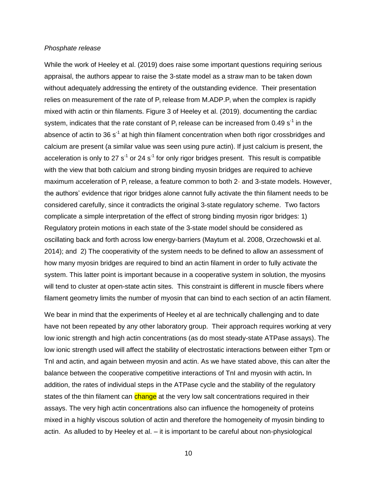#### *Phosphate release*

While the work of Heeley et al. (2019) does raise some important questions requiring serious appraisal, the authors appear to raise the 3-state model as a straw man to be taken down without adequately addressing the entirety of the outstanding evidence. Their presentation relies on measurement of the rate of  $P_i$  release from M.ADP. $P_i$  when the complex is rapidly mixed with actin or thin filaments. Figure 3 of Heeley et al. (2019), documenting the cardiac system, indicates that the rate constant of  $P_i$  release can be increased from 0.49 s<sup>-1</sup> in the absence of actin to 36 s<sup>-1</sup> at high thin filament concentration when both rigor crossbridges and calcium are present (a similar value was seen using pure actin). If just calcium is present, the acceleration is only to 27 s<sup>-1</sup> or 24 s<sup>-1</sup> for only rigor bridges present. This result is compatible with the view that both calcium and strong binding myosin bridges are required to achieve maximum acceleration of  $P_i$  release, a feature common to both 2- and 3-state models. However, the authors' evidence that rigor bridges alone cannot fully activate the thin filament needs to be considered carefully, since it contradicts the original 3-state regulatory scheme. Two factors complicate a simple interpretation of the effect of strong binding myosin rigor bridges: 1) Regulatory protein motions in each state of the 3-state model should be considered as oscillating back and forth across low energy-barriers (Maytum et al. 2008, Orzechowski et al. 2014); and 2) The cooperativity of the system needs to be defined to allow an assessment of how many myosin bridges are required to bind an actin filament in order to fully activate the system. This latter point is important because in a cooperative system in solution, the myosins will tend to cluster at open-state actin sites. This constraint is different in muscle fibers where filament geometry limits the number of myosin that can bind to each section of an actin filament.

We bear in mind that the experiments of Heeley et al are technically challenging and to date have not been repeated by any other laboratory group. Their approach requires working at very low ionic strength and high actin concentrations (as do most steady-state ATPase assays). The low ionic strength used will affect the stability of electrostatic interactions between either Tpm or TnI and actin, and again between myosin and actin. As we have stated above, this can alter the balance between the cooperative competitive interactions of TnI and myosin with actin**.** In addition, the rates of individual steps in the ATPase cycle and the stability of the regulatory states of the thin filament can change at the very low salt concentrations required in their assays. The very high actin concentrations also can influence the homogeneity of proteins mixed in a highly viscous solution of actin and therefore the homogeneity of myosin binding to actin. As alluded to by Heeley et al. – it is important to be careful about non-physiological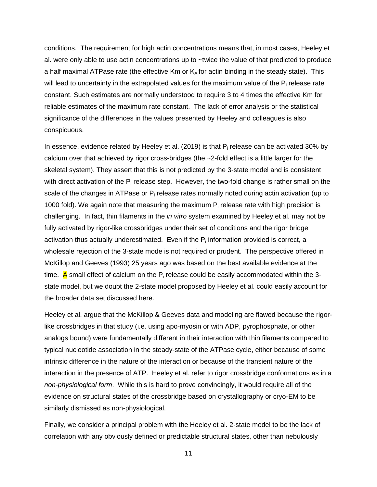conditions. The requirement for high actin concentrations means that, in most cases, Heeley et al. were only able to use actin concentrations up to ~twice the value of that predicted to produce a half maximal ATPase rate (the effective Km or  $K_A$  for actin binding in the steady state). This will lead to uncertainty in the extrapolated values for the maximum value of the  $P_i$  release rate constant. Such estimates are normally understood to require 3 to 4 times the effective Km for reliable estimates of the maximum rate constant. The lack of error analysis or the statistical significance of the differences in the values presented by Heeley and colleagues is also conspicuous.

In essence, evidence related by Heeley et al. (2019) is that  $P_i$  release can be activated 30% by calcium over that achieved by rigor cross-bridges (the ~2-fold effect is a little larger for the skeletal system). They assert that this is not predicted by the 3-state model and is consistent with direct activation of the  $P_i$  release step. However, the two-fold change is rather small on the scale of the changes in ATPase or  $P_i$  release rates normally noted during actin activation (up to 1000 fold). We again note that measuring the maximum  $P_i$  release rate with high precision is challenging. In fact, thin filaments in the *in vitro* system examined by Heeley et al. may not be fully activated by rigor-like crossbridges under their set of conditions and the rigor bridge activation thus actually underestimated. Even if the  $P_i$  information provided is correct, a wholesale rejection of the 3-state mode is not required or prudent. The perspective offered in McKillop and Geeves (1993) 25 years ago was based on the best available evidence at the time. A small effect of calcium on the  $P_i$  release could be easily accommodated within the 3state model, but we doubt the 2-state model proposed by Heeley et al. could easily account for the broader data set discussed here.

Heeley et al. argue that the McKillop & Geeves data and modeling are flawed because the rigorlike crossbridges in that study (i.e. using apo-myosin or with ADP, pyrophosphate, or other analogs bound) were fundamentally different in their interaction with thin filaments compared to typical nucleotide association in the steady-state of the ATPase cycle, either because of some intrinsic difference in the nature of the interaction or because of the transient nature of the interaction in the presence of ATP. Heeley et al. refer to rigor crossbridge conformations as in a *non-physiological form*. While this is hard to prove convincingly, it would require all of the evidence on structural states of the crossbridge based on crystallography or cryo-EM to be similarly dismissed as non-physiological.

Finally, we consider a principal problem with the Heeley et al. 2-state model to be the lack of correlation with any obviously defined or predictable structural states, other than nebulously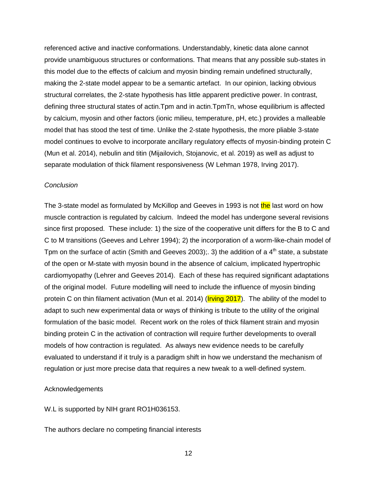referenced active and inactive conformations. Understandably, kinetic data alone cannot provide unambiguous structures or conformations. That means that any possible sub-states in this model due to the effects of calcium and myosin binding remain undefined structurally, making the 2-state model appear to be a semantic artefact. In our opinion, lacking obvious structural correlates, the 2-state hypothesis has little apparent predictive power. In contrast, defining three structural states of actin.Tpm and in actin.TpmTn, whose equilibrium is affected by calcium, myosin and other factors (ionic milieu, temperature, pH, etc.) provides a malleable model that has stood the test of time. Unlike the 2-state hypothesis, the more pliable 3-state model continues to evolve to incorporate ancillary regulatory effects of myosin-binding protein C (Mun et al. 2014), nebulin and titin (Mijailovich, Stojanovic, et al. 2019) as well as adjust to separate modulation of thick filament responsiveness (W Lehman 1978, Irving 2017).

#### *Conclusion*

The 3-state model as formulated by McKillop and Geeves in 1993 is not the last word on how muscle contraction is regulated by calcium. Indeed the model has undergone several revisions since first proposed. These include: 1) the size of the cooperative unit differs for the B to C and C to M transitions (Geeves and Lehrer 1994); 2) the incorporation of a worm-like-chain model of Tpm on the surface of actin (Smith and Geeves 2003);. 3) the addition of a  $4<sup>th</sup>$  state, a substate of the open or M-state with myosin bound in the absence of calcium, implicated hypertrophic cardiomyopathy (Lehrer and Geeves 2014). Each of these has required significant adaptations of the original model. Future modelling will need to include the influence of myosin binding protein C on thin filament activation (Mun et al. 2014) (*Irving 2017*). The ability of the model to adapt to such new experimental data or ways of thinking is tribute to the utility of the original formulation of the basic model. Recent work on the roles of thick filament strain and myosin binding protein C in the activation of contraction will require further developments to overall models of how contraction is regulated. As always new evidence needs to be carefully evaluated to understand if it truly is a paradigm shift in how we understand the mechanism of regulation or just more precise data that requires a new tweak to a well-defined system.

#### Acknowledgements

#### W.L is supported by NIH grant RO1H036153.

The authors declare no competing financial interests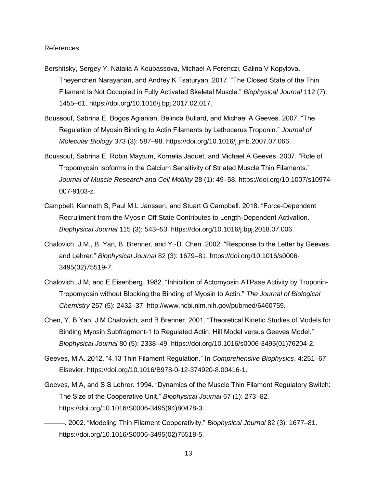#### References

- Bershitsky, Sergey Y, Natalia A Koubassova, Michael A Ferenczi, Galina V Kopylova, Theyencheri Narayanan, and Andrey K Tsaturyan. 2017. "The Closed State of the Thin Filament Is Not Occupied in Fully Activated Skeletal Muscle." *Biophysical Journal* 112 (7): 1455–61. https://doi.org/10.1016/j.bpj.2017.02.017.
- Boussouf, Sabrina E, Bogos Agianian, Belinda Bullard, and Michael A Geeves. 2007. "The Regulation of Myosin Binding to Actin Filaments by Lethocerus Troponin." *Journal of Molecular Biology* 373 (3): 587–98. https://doi.org/10.1016/j.jmb.2007.07.066.
- Boussouf, Sabrina E, Robin Maytum, Kornelia Jaquet, and Michael A Geeves. 2007. "Role of Tropomyosin Isoforms in the Calcium Sensitivity of Striated Muscle Thin Filaments." *Journal of Muscle Research and Cell Motility* 28 (1): 49–58. https://doi.org/10.1007/s10974- 007-9103-z.
- Campbell, Kenneth S, Paul M L Janssen, and Stuart G Campbell. 2018. "Force-Dependent Recruitment from the Myosin Off State Contributes to Length-Dependent Activation." *Biophysical Journal* 115 (3): 543–53. https://doi.org/10.1016/j.bpj.2018.07.006.
- Chalovich, J.M., B. Yan, B. Brenner, and Y.-D. Chen. 2002. "Response to the Letter by Geeves and Lehrer." *Biophysical Journal* 82 (3): 1679–81. https://doi.org/10.1016/s0006- 3495(02)75519-7.
- Chalovich, J M, and E Eisenberg. 1982. "Inhibition of Actomyosin ATPase Activity by Troponin-Tropomyosin without Blocking the Binding of Myosin to Actin." *The Journal of Biological Chemistry* 257 (5): 2432–37. http://www.ncbi.nlm.nih.gov/pubmed/6460759.
- Chen, Y, B Yan, J M Chalovich, and B Brenner. 2001. "Theoretical Kinetic Studies of Models for Binding Myosin Subfragment-1 to Regulated Actin: Hill Model versus Geeves Model." *Biophysical Journal* 80 (5): 2338–49. https://doi.org/10.1016/s0006-3495(01)76204-2.
- Geeves, M.A. 2012. "4.13 Thin Filament Regulation." In *Comprehensive Biophysics*, 4:251–67. Elsevier. https://doi.org/10.1016/B978-0-12-374920-8.00416-1.
- Geeves, M A, and S S Lehrer. 1994. "Dynamics of the Muscle Thin Filament Regulatory Switch: The Size of the Cooperative Unit." *Biophysical Journal* 67 (1): 273–82. https://doi.org/10.1016/S0006-3495(94)80478-3.
	- ———. 2002. "Modeling Thin Filament Cooperativity." *Biophysical Journal* 82 (3): 1677–81. https://doi.org/10.1016/S0006-3495(02)75518-5.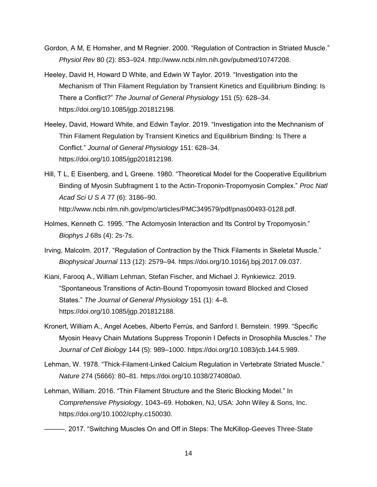- Gordon, A M, E Homsher, and M Regnier. 2000. "Regulation of Contraction in Striated Muscle." *Physiol Rev* 80 (2): 853–924. http://www.ncbi.nlm.nih.gov/pubmed/10747208.
- Heeley, David H, Howard D White, and Edwin W Taylor. 2019. "Investigation into the Mechanism of Thin Filament Regulation by Transient Kinetics and Equilibrium Binding: Is There a Conflict?" *The Journal of General Physiology* 151 (5): 628–34. https://doi.org/10.1085/jgp.201812198.
- Heeley, David, Howard White, and Edwin Taylor. 2019. "Investigation into the Mechnanism of Thin Filament Regulation by Transient Kinetics and Equilibrium Binding: Is There a Conflict." *Journal of General Physiology* 151: 628–34. https://doi.org/10.1085/jgp201812198.
- Hill, T L, E Eisenberg, and L Greene. 1980. "Theoretical Model for the Cooperative Equilibrium Binding of Myosin Subfragment 1 to the Actin-Troponin-Tropomyosin Complex." *Proc Natl Acad Sci U S A* 77 (6): 3186–90. http://www.ncbi.nlm.nih.gov/pmc/articles/PMC349579/pdf/pnas00493-0128.pdf.
- Holmes, Kenneth C. 1995. "The Actomyosin Interaction and Its Control by Tropomyosin." *Biophys J* 68s (4): 2s-7s.
- Irving, Malcolm. 2017. "Regulation of Contraction by the Thick Filaments in Skeletal Muscle." *Biophysical Journal* 113 (12): 2579–94. https://doi.org/10.1016/j.bpj.2017.09.037.
- Kiani, Farooq A., William Lehman, Stefan Fischer, and Michael J. Rynkiewicz. 2019. "Spontaneous Transitions of Actin-Bound Tropomyosin toward Blocked and Closed States." *The Journal of General Physiology* 151 (1): 4–8. https://doi.org/10.1085/jgp.201812188.
- Kronert, William A., Angel Acebes, Alberto Ferrús, and Sanford I. Bernstein. 1999. "Specific Myosin Heavy Chain Mutations Suppress Troponin I Defects in Drosophila Muscles." *The Journal of Cell Biology* 144 (5): 989–1000. https://doi.org/10.1083/jcb.144.5.989.
- Lehman, W. 1978. "Thick-Filament-Linked Calcium Regulation in Vertebrate Striated Muscle." *Nature* 274 (5666): 80–81. https://doi.org/10.1038/274080a0.
- Lehman, William. 2016. "Thin Filament Structure and the Steric Blocking Model." In *Comprehensive Physiology*, 1043–69. Hoboken, NJ, USA: John Wiley & Sons, Inc. https://doi.org/10.1002/cphy.c150030.
- ———. 2017. "Switching Muscles On and Off in Steps: The McKillop-Geeves Three-State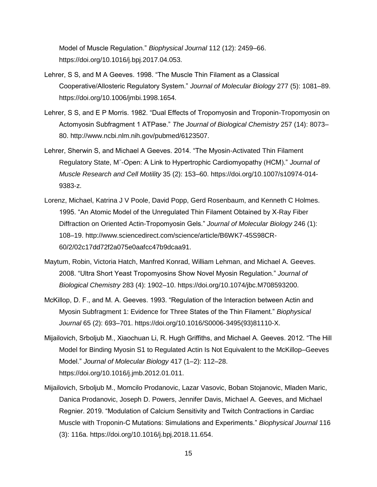Model of Muscle Regulation." *Biophysical Journal* 112 (12): 2459–66. https://doi.org/10.1016/j.bpj.2017.04.053.

- Lehrer, S S, and M A Geeves. 1998. "The Muscle Thin Filament as a Classical Cooperative/Allosteric Regulatory System." *Journal of Molecular Biology* 277 (5): 1081–89. https://doi.org/10.1006/jmbi.1998.1654.
- Lehrer, S S, and E P Morris. 1982. "Dual Effects of Tropomyosin and Troponin-Tropomyosin on Actomyosin Subfragment 1 ATPase." *The Journal of Biological Chemistry* 257 (14): 8073– 80. http://www.ncbi.nlm.nih.gov/pubmed/6123507.
- Lehrer, Sherwin S, and Michael A Geeves. 2014. "The Myosin-Activated Thin Filament Regulatory State, M<sup>−</sup> -Open: A Link to Hypertrophic Cardiomyopathy (HCM)." *Journal of Muscle Research and Cell Motility* 35 (2): 153–60. https://doi.org/10.1007/s10974-014- 9383-z.
- Lorenz, Michael, Katrina J V Poole, David Popp, Gerd Rosenbaum, and Kenneth C Holmes. 1995. "An Atomic Model of the Unregulated Thin Filament Obtained by X-Ray Fiber Diffraction on Oriented Actin-Tropomyosin Gels." *Journal of Molecular Biology* 246 (1): 108–19. http://www.sciencedirect.com/science/article/B6WK7-45S98CR-60/2/02c17dd72f2a075e0aafcc47b9dcaa91.
- Maytum, Robin, Victoria Hatch, Manfred Konrad, William Lehman, and Michael A. Geeves. 2008. "Ultra Short Yeast Tropomyosins Show Novel Myosin Regulation." *Journal of Biological Chemistry* 283 (4): 1902–10. https://doi.org/10.1074/jbc.M708593200.
- McKillop, D. F., and M. A. Geeves. 1993. "Regulation of the Interaction between Actin and Myosin Subfragment 1: Evidence for Three States of the Thin Filament." *Biophysical Journal* 65 (2): 693–701. https://doi.org/10.1016/S0006-3495(93)81110-X.
- Mijailovich, Srboljub M., Xiaochuan Li, R. Hugh Griffiths, and Michael A. Geeves. 2012. "The Hill Model for Binding Myosin S1 to Regulated Actin Is Not Equivalent to the McKillop–Geeves Model." *Journal of Molecular Biology* 417 (1–2): 112–28. https://doi.org/10.1016/j.jmb.2012.01.011.
- Mijailovich, Srboljub M., Momcilo Prodanovic, Lazar Vasovic, Boban Stojanovic, Mladen Maric, Danica Prodanovic, Joseph D. Powers, Jennifer Davis, Michael A. Geeves, and Michael Regnier. 2019. "Modulation of Calcium Sensitivity and Twitch Contractions in Cardiac Muscle with Troponin-C Mutations: Simulations and Experiments." *Biophysical Journal* 116 (3): 116a. https://doi.org/10.1016/j.bpj.2018.11.654.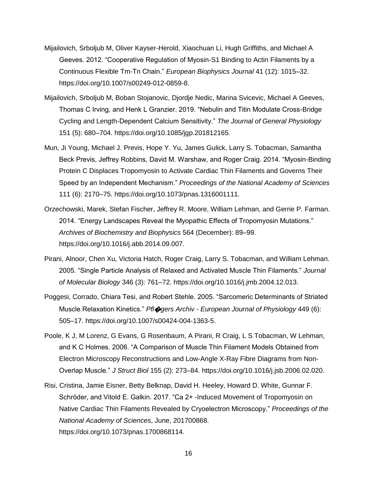- Mijailovich, Srboljub M, Oliver Kayser-Herold, Xiaochuan Li, Hugh Griffiths, and Michael A Geeves. 2012. "Cooperative Regulation of Myosin-S1 Binding to Actin Filaments by a Continuous Flexible Tm-Tn Chain." *European Biophysics Journal* 41 (12): 1015–32. https://doi.org/10.1007/s00249-012-0859-8.
- Mijailovich, Srboljub M, Boban Stojanovic, Djordje Nedic, Marina Svicevic, Michael A Geeves, Thomas C Irving, and Henk L Granzier. 2019. "Nebulin and Titin Modulate Cross-Bridge Cycling and Length-Dependent Calcium Sensitivity." *The Journal of General Physiology* 151 (5): 680–704. https://doi.org/10.1085/jgp.201812165.
- Mun, Ji Young, Michael J. Previs, Hope Y. Yu, James Gulick, Larry S. Tobacman, Samantha Beck Previs, Jeffrey Robbins, David M. Warshaw, and Roger Craig. 2014. "Myosin-Binding Protein C Displaces Tropomyosin to Activate Cardiac Thin Filaments and Governs Their Speed by an Independent Mechanism." *Proceedings of the National Academy of Sciences* 111 (6): 2170–75. https://doi.org/10.1073/pnas.1316001111.
- Orzechowski, Marek, Stefan Fischer, Jeffrey R. Moore, William Lehman, and Gerrie P. Farman. 2014. "Energy Landscapes Reveal the Myopathic Effects of Tropomyosin Mutations." *Archives of Biochemistry and Biophysics* 564 (December): 89–99. https://doi.org/10.1016/j.abb.2014.09.007.
- Pirani, Alnoor, Chen Xu, Victoria Hatch, Roger Craig, Larry S. Tobacman, and William Lehman. 2005. "Single Particle Analysis of Relaxed and Activated Muscle Thin Filaments." *Journal of Molecular Biology* 346 (3): 761–72. https://doi.org/10.1016/j.jmb.2004.12.013.
- Poggesi, Corrado, Chiara Tesi, and Robert Stehle. 2005. "Sarcomeric Determinants of Striated Muscle Relaxation Kinetics." *Pfl*�*gers Archiv - European Journal of Physiology* 449 (6): 505–17. https://doi.org/10.1007/s00424-004-1363-5.
- Poole, K J, M Lorenz, G Evans, G Rosenbaum, A Pirani, R Craig, L S Tobacman, W Lehman, and K C Holmes. 2006. "A Comparison of Muscle Thin Filament Models Obtained from Electron Microscopy Reconstructions and Low-Angle X-Ray Fibre Diagrams from Non-Overlap Muscle." *J Struct Biol* 155 (2): 273–84. https://doi.org/10.1016/j.jsb.2006.02.020.
- Risi, Cristina, Jamie Eisner, Betty Belknap, David H. Heeley, Howard D. White, Gunnar F. Schröder, and Vitold E. Galkin. 2017. "Ca 2+ -Induced Movement of Tropomyosin on Native Cardiac Thin Filaments Revealed by Cryoelectron Microscopy." *Proceedings of the National Academy of Sciences*, June, 201700868. https://doi.org/10.1073/pnas.1700868114.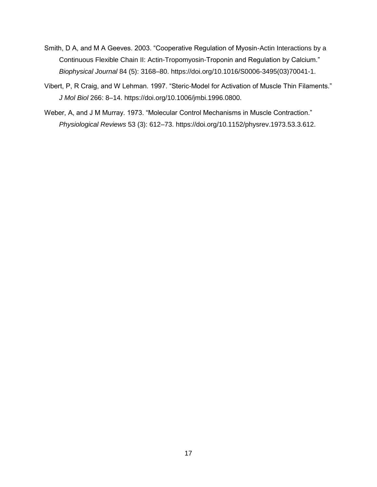- Smith, D A, and M A Geeves. 2003. "Cooperative Regulation of Myosin-Actin Interactions by a Continuous Flexible Chain II: Actin-Tropomyosin-Troponin and Regulation by Calcium." *Biophysical Journal* 84 (5): 3168–80. https://doi.org/10.1016/S0006-3495(03)70041-1.
- Vibert, P, R Craig, and W Lehman. 1997. "Steric-Model for Activation of Muscle Thin Filaments." *J Mol Biol* 266: 8–14. https://doi.org/10.1006/jmbi.1996.0800.
- Weber, A, and J M Murray. 1973. "Molecular Control Mechanisms in Muscle Contraction." *Physiological Reviews* 53 (3): 612–73. https://doi.org/10.1152/physrev.1973.53.3.612.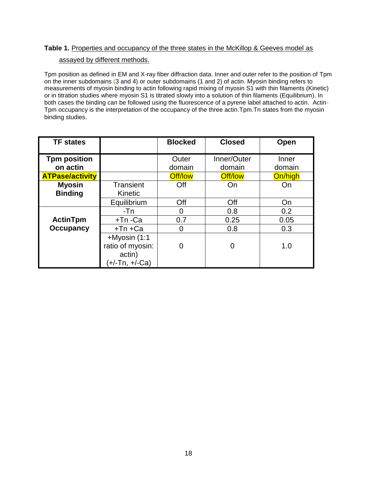#### Table 1. Properties and occupancy of the three states in the McKillop & Geeves model as

#### assayed by different methods.

Tpm position as defined in EM and X-ray fiber diffraction data. Inner and outer refer to the position of Tpm on the inner subdomains (3 and 4) or outer subdomains (1 and 2) of actin. Myosin binding refers to measurements of myosin binding to actin following rapid mixing of myosin S1 with thin filaments (Kinetic) or in titration studies where myosin S1 is titrated slowly into a solution of thin filaments (Equilibrium). In both cases the binding can be followed using the fluorescence of a pyrene label attached to actin. Actin-Tpm occupancy is the interpretation of the occupancy of the three actin.Tpm.Tn states from the myosin binding studies.

| <b>TF</b> states       |                  | <b>Blocked</b> | <b>Closed</b> | Open    |
|------------------------|------------------|----------------|---------------|---------|
|                        |                  |                |               |         |
| <b>Tpm position</b>    |                  | Outer          | Inner/Outer   | Inner   |
| on actin               |                  | domain         | domain        | domain  |
| <b>ATPase/activity</b> |                  | <b>Off/low</b> | Off/low       | On/high |
| <b>Myosin</b>          | <b>Transient</b> | Off            | On            | On      |
| <b>Binding</b>         | Kinetic          |                |               |         |
|                        | Equilibrium      | Off            | Off           | On      |
|                        | $-Tn$            | 0              | 0.8           | 0.2     |
| ActinTpm               | +Tn-Ca           | 0.7            | 0.25          | 0.05    |
| <b>Occupancy</b>       | $+Tn + Ca$       | 0              | 0.8           | 0.3     |
|                        | +Myosin (1:1     |                |               |         |
|                        | ratio of myosin: | 0              | 0             | 1.0     |
|                        | actin)           |                |               |         |
|                        | (+/-Tn, +/-Ca)   |                |               |         |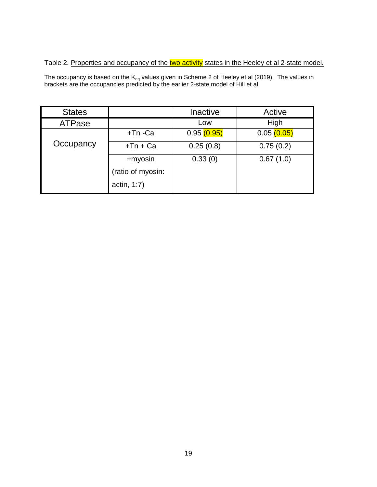#### Table 2. Properties and occupancy of the two activity states in the Heeley et al 2-state model.

The occupancy is based on the  $\mathsf{K}_\mathsf{eq}$  values given in Scheme 2 of Heeley et al (2019). The values in brackets are the occupancies predicted by the earlier 2-state model of Hill et al.

| <b>States</b> |                   | Inactive   | Active     |
|---------------|-------------------|------------|------------|
| <b>ATPase</b> |                   | Low        | High       |
|               | $+Tn - Ca$        | 0.95(0.95) | 0.05(0.05) |
| Occupancy     | $+Tn + Ca$        | 0.25(0.8)  | 0.75(0.2)  |
|               | +myosin           | 0.33(0)    | 0.67(1.0)  |
|               | (ratio of myosin: |            |            |
|               | actin, 1:7)       |            |            |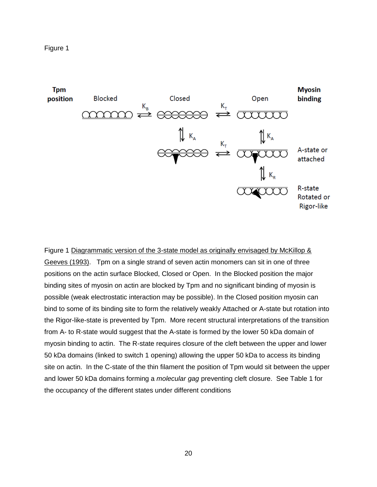



Figure 1 Diagrammatic version of the 3-state model as originally envisaged by McKillop & Geeves (1993). Tpm on a single strand of seven actin monomers can sit in one of three positions on the actin surface Blocked, Closed or Open. In the Blocked position the major binding sites of myosin on actin are blocked by Tpm and no significant binding of myosin is possible (weak electrostatic interaction may be possible). In the Closed position myosin can bind to some of its binding site to form the relatively weakly Attached or A-state but rotation into the Rigor-like-state is prevented by Tpm. More recent structural interpretations of the transition from A- to R-state would suggest that the A-state is formed by the lower 50 kDa domain of myosin binding to actin. The R-state requires closure of the cleft between the upper and lower 50 kDa domains (linked to switch 1 opening) allowing the upper 50 kDa to access its binding site on actin. In the C-state of the thin filament the position of Tpm would sit between the upper and lower 50 kDa domains forming a *molecular gag* preventing cleft closure. See Table 1 for the occupancy of the different states under different conditions